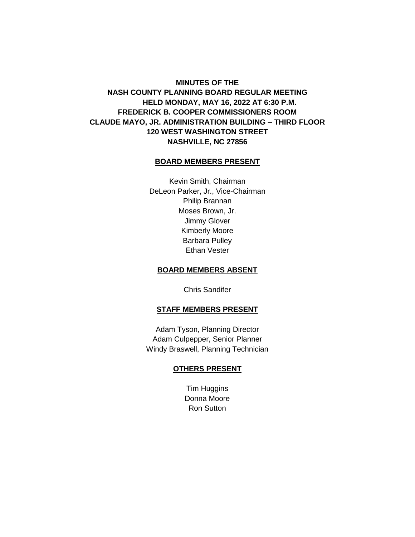# **MINUTES OF THE NASH COUNTY PLANNING BOARD REGULAR MEETING HELD MONDAY, MAY 16, 2022 AT 6:30 P.M. FREDERICK B. COOPER COMMISSIONERS ROOM CLAUDE MAYO, JR. ADMINISTRATION BUILDING – THIRD FLOOR 120 WEST WASHINGTON STREET NASHVILLE, NC 27856**

# **BOARD MEMBERS PRESENT**

Kevin Smith, Chairman DeLeon Parker, Jr., Vice-Chairman Philip Brannan Moses Brown, Jr. Jimmy Glover Kimberly Moore Barbara Pulley Ethan Vester

# **BOARD MEMBERS ABSENT**

Chris Sandifer

#### **STAFF MEMBERS PRESENT**

Adam Tyson, Planning Director Adam Culpepper, Senior Planner Windy Braswell, Planning Technician

#### **OTHERS PRESENT**

Tim Huggins Donna Moore Ron Sutton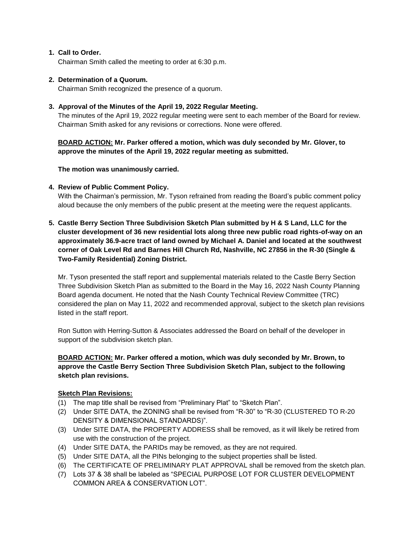# **1. Call to Order.**

Chairman Smith called the meeting to order at 6:30 p.m.

# **2. Determination of a Quorum.**

Chairman Smith recognized the presence of a quorum.

# **3. Approval of the Minutes of the April 19, 2022 Regular Meeting.**

The minutes of the April 19, 2022 regular meeting were sent to each member of the Board for review. Chairman Smith asked for any revisions or corrections. None were offered.

**BOARD ACTION: Mr. Parker offered a motion, which was duly seconded by Mr. Glover, to approve the minutes of the April 19, 2022 regular meeting as submitted.**

# **The motion was unanimously carried.**

# **4. Review of Public Comment Policy.**

With the Chairman's permission, Mr. Tyson refrained from reading the Board's public comment policy aloud because the only members of the public present at the meeting were the request applicants.

**5. Castle Berry Section Three Subdivision Sketch Plan submitted by H & S Land, LLC for the cluster development of 36 new residential lots along three new public road rights-of-way on an approximately 36.9-acre tract of land owned by Michael A. Daniel and located at the southwest corner of Oak Level Rd and Barnes Hill Church Rd, Nashville, NC 27856 in the R-30 (Single & Two-Family Residential) Zoning District.**

Mr. Tyson presented the staff report and supplemental materials related to the Castle Berry Section Three Subdivision Sketch Plan as submitted to the Board in the May 16, 2022 Nash County Planning Board agenda document. He noted that the Nash County Technical Review Committee (TRC) considered the plan on May 11, 2022 and recommended approval, subject to the sketch plan revisions listed in the staff report.

Ron Sutton with Herring-Sutton & Associates addressed the Board on behalf of the developer in support of the subdivision sketch plan.

# **BOARD ACTION: Mr. Parker offered a motion, which was duly seconded by Mr. Brown, to approve the Castle Berry Section Three Subdivision Sketch Plan, subject to the following sketch plan revisions.**

# **Sketch Plan Revisions:**

- (1) The map title shall be revised from "Preliminary Plat" to "Sketch Plan".
- (2) Under SITE DATA, the ZONING shall be revised from "R-30" to "R-30 (CLUSTERED TO R-20 DENSITY & DIMENSIONAL STANDARDS)".
- (3) Under SITE DATA, the PROPERTY ADDRESS shall be removed, as it will likely be retired from use with the construction of the project.
- (4) Under SITE DATA, the PARIDs may be removed, as they are not required.
- (5) Under SITE DATA, all the PINs belonging to the subject properties shall be listed.
- (6) The CERTIFICATE OF PRELIMINARY PLAT APPROVAL shall be removed from the sketch plan.
- (7) Lots 37 & 38 shall be labeled as "SPECIAL PURPOSE LOT FOR CLUSTER DEVELOPMENT COMMON AREA & CONSERVATION LOT".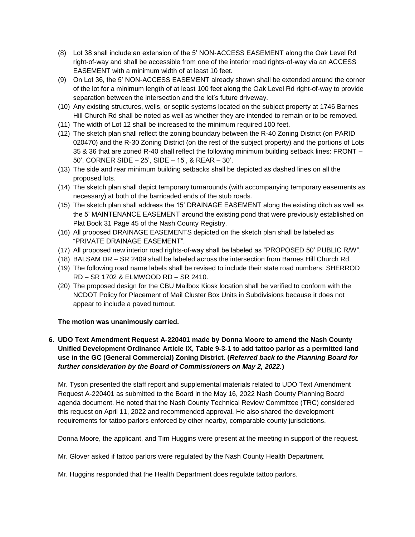- (8) Lot 38 shall include an extension of the 5' NON-ACCESS EASEMENT along the Oak Level Rd right-of-way and shall be accessible from one of the interior road rights-of-way via an ACCESS EASEMENT with a minimum width of at least 10 feet.
- (9) On Lot 36, the 5' NON-ACCESS EASEMENT already shown shall be extended around the corner of the lot for a minimum length of at least 100 feet along the Oak Level Rd right-of-way to provide separation between the intersection and the lot's future driveway.
- (10) Any existing structures, wells, or septic systems located on the subject property at 1746 Barnes Hill Church Rd shall be noted as well as whether they are intended to remain or to be removed.
- (11) The width of Lot 12 shall be increased to the minimum required 100 feet.
- (12) The sketch plan shall reflect the zoning boundary between the R-40 Zoning District (on PARID 020470) and the R-30 Zoning District (on the rest of the subject property) and the portions of Lots 35 & 36 that are zoned R-40 shall reflect the following minimum building setback lines: FRONT – 50', CORNER SIDE – 25', SIDE – 15', & REAR – 30'.
- (13) The side and rear minimum building setbacks shall be depicted as dashed lines on all the proposed lots.
- (14) The sketch plan shall depict temporary turnarounds (with accompanying temporary easements as necessary) at both of the barricaded ends of the stub roads.
- (15) The sketch plan shall address the 15' DRAINAGE EASEMENT along the existing ditch as well as the 5' MAINTENANCE EASEMENT around the existing pond that were previously established on Plat Book 31 Page 45 of the Nash County Registry.
- (16) All proposed DRAINAGE EASEMENTS depicted on the sketch plan shall be labeled as "PRIVATE DRAINAGE EASEMENT".
- (17) All proposed new interior road rights-of-way shall be labeled as "PROPOSED 50' PUBLIC R/W".
- (18) BALSAM DR SR 2409 shall be labeled across the intersection from Barnes Hill Church Rd.
- (19) The following road name labels shall be revised to include their state road numbers: SHERROD RD – SR 1702 & ELMWOOD RD – SR 2410.
- (20) The proposed design for the CBU Mailbox Kiosk location shall be verified to conform with the NCDOT Policy for Placement of Mail Cluster Box Units in Subdivisions because it does not appear to include a paved turnout.

# **The motion was unanimously carried.**

# **6. UDO Text Amendment Request A-220401 made by Donna Moore to amend the Nash County Unified Development Ordinance Article IX, Table 9-3-1 to add tattoo parlor as a permitted land use in the GC (General Commercial) Zoning District. (***Referred back to the Planning Board for further consideration by the Board of Commissioners on May 2, 2022.***)**

Mr. Tyson presented the staff report and supplemental materials related to UDO Text Amendment Request A-220401 as submitted to the Board in the May 16, 2022 Nash County Planning Board agenda document. He noted that the Nash County Technical Review Committee (TRC) considered this request on April 11, 2022 and recommended approval. He also shared the development requirements for tattoo parlors enforced by other nearby, comparable county jurisdictions.

Donna Moore, the applicant, and Tim Huggins were present at the meeting in support of the request.

Mr. Glover asked if tattoo parlors were regulated by the Nash County Health Department.

Mr. Huggins responded that the Health Department does regulate tattoo parlors.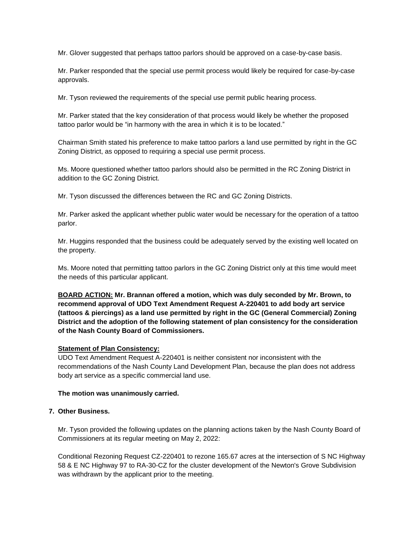Mr. Glover suggested that perhaps tattoo parlors should be approved on a case-by-case basis.

Mr. Parker responded that the special use permit process would likely be required for case-by-case approvals.

Mr. Tyson reviewed the requirements of the special use permit public hearing process.

Mr. Parker stated that the key consideration of that process would likely be whether the proposed tattoo parlor would be "in harmony with the area in which it is to be located."

Chairman Smith stated his preference to make tattoo parlors a land use permitted by right in the GC Zoning District, as opposed to requiring a special use permit process.

Ms. Moore questioned whether tattoo parlors should also be permitted in the RC Zoning District in addition to the GC Zoning District.

Mr. Tyson discussed the differences between the RC and GC Zoning Districts.

Mr. Parker asked the applicant whether public water would be necessary for the operation of a tattoo parlor.

Mr. Huggins responded that the business could be adequately served by the existing well located on the property.

Ms. Moore noted that permitting tattoo parlors in the GC Zoning District only at this time would meet the needs of this particular applicant.

**BOARD ACTION: Mr. Brannan offered a motion, which was duly seconded by Mr. Brown, to recommend approval of UDO Text Amendment Request A-220401 to add body art service (tattoos & piercings) as a land use permitted by right in the GC (General Commercial) Zoning District and the adoption of the following statement of plan consistency for the consideration of the Nash County Board of Commissioners.**

#### **Statement of Plan Consistency:**

UDO Text Amendment Request A-220401 is neither consistent nor inconsistent with the recommendations of the Nash County Land Development Plan, because the plan does not address body art service as a specific commercial land use.

#### **The motion was unanimously carried.**

# **7. Other Business.**

Mr. Tyson provided the following updates on the planning actions taken by the Nash County Board of Commissioners at its regular meeting on May 2, 2022:

Conditional Rezoning Request CZ-220401 to rezone 165.67 acres at the intersection of S NC Highway 58 & E NC Highway 97 to RA-30-CZ for the cluster development of the Newton's Grove Subdivision was withdrawn by the applicant prior to the meeting.